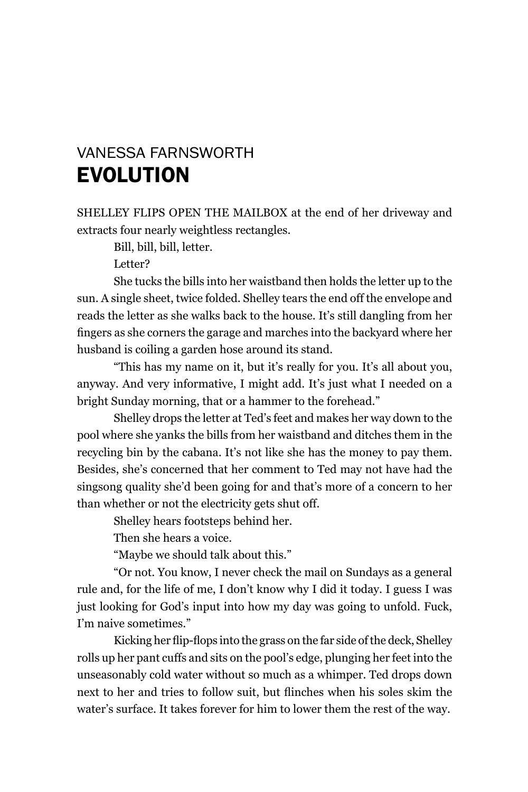## vAnESSA FArnSworTh **EVOLUTION**

SHELLEY FLIPS OPEN THE MAILBOX at the end of her driveway and extracts four nearly weightless rectangles.

Bill, bill, bill, letter.

Letter?

She tucks the bills into her waistband then holds the letter up to the sun. A single sheet, twice folded. Shelley tears the end off the envelope and reads the letter as she walks back to the house. It's still dangling from her fingers as she corners the garage and marches into the backyard where her husband is coiling a garden hose around its stand.

"This has my name on it, but it's really for you. It's all about you, anyway. And very informative, I might add. It's just what I needed on a bright Sunday morning, that or a hammer to the forehead."

Shelley drops the letter at Ted's feet and makes her way down to the pool where she yanks the bills from her waistband and ditches them in the recycling bin by the cabana. It's not like she has the money to pay them. Besides, she's concerned that her comment to Ted may not have had the singsong quality she'd been going for and that's more of a concern to her than whether or not the electricity gets shut off.

Shelley hears footsteps behind her.

Then she hears a voice.

"Maybe we should talk about this."

"or not. You know, I never check the mail on Sundays as a general rule and, for the life of me, I don't know why I did it today. I guess I was just looking for God's input into how my day was going to unfold. Fuck, I'm naive sometimes."

Kicking her flip-flops into the grass on the far side of the deck, Shelley rolls up her pant cuffs and sits on the pool's edge, plunging her feet into the unseasonably cold water without so much as a whimper. Ted drops down next to her and tries to follow suit, but flinches when his soles skim the water's surface. It takes forever for him to lower them the rest of the way.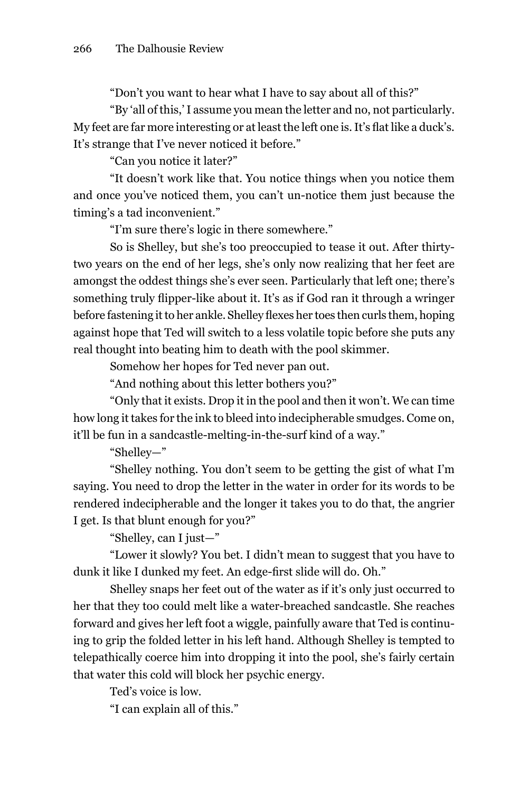"Don't you want to hear what I have to say about all of this?"

"By 'all of this,' I assume you mean the letter and no, not particularly. My feet are far more interesting or at least the left one is. It's flat like a duck's. It's strange that I've never noticed it before."

"Can you notice it later?"

"It doesn't work like that. You notice things when you notice them and once you've noticed them, you can't un-notice them just because the timing's a tad inconvenient."

"I'm sure there's logic in there somewhere."

So is Shelley, but she's too preoccupied to tease it out. After thirtytwo years on the end of her legs, she's only now realizing that her feet are amongst the oddest things she's ever seen. Particularly that left one; there's something truly flipper-like about it. It's as if God ran it through a wringer before fastening it to her ankle. Shelley flexes her toes then curls them, hoping against hope that Ted will switch to a less volatile topic before she puts any real thought into beating him to death with the pool skimmer.

Somehow her hopes for Ted never pan out.

"And nothing about this letter bothers you?"

"only that it exists. Drop it in the pool and then it won't. We can time how long it takes for the ink to bleed into indecipherable smudges. Come on, it'll be fun in a sandcastle-melting-in-the-surf kind of a way."

"Shelley—"

"Shelley nothing. You don't seem to be getting the gist of what I'm saying. You need to drop the letter in the water in order for its words to be rendered indecipherable and the longer it takes you to do that, the angrier I get. Is that blunt enough for you?"

"Shelley, can I just—"

"lower it slowly? You bet. I didn't mean to suggest that you have to dunk it like I dunked my feet. An edge-first slide will do. Oh."

Shelley snaps her feet out of the water as if it's only just occurred to her that they too could melt like a water-breached sandcastle. She reaches forward and gives her left foot a wiggle, painfully aware that Ted is continuing to grip the folded letter in his left hand. Although Shelley is tempted to telepathically coerce him into dropping it into the pool, she's fairly certain that water this cold will block her psychic energy.

Ted's voice is low.

"I can explain all of this."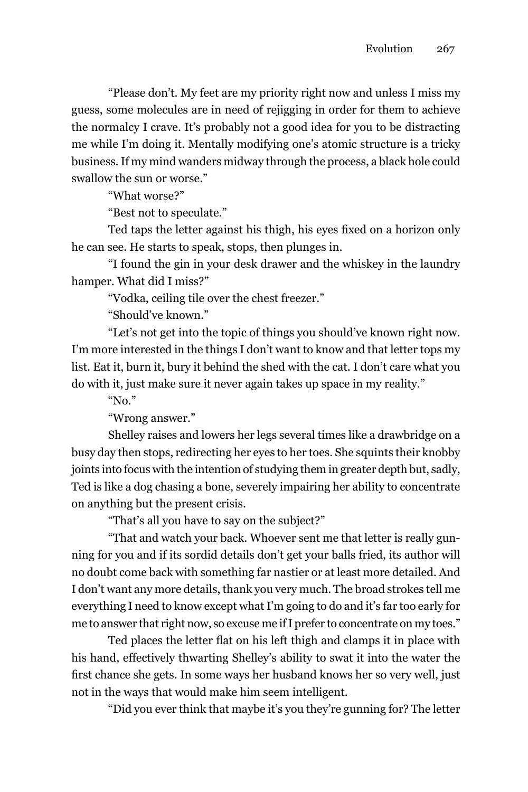"Please don't. my feet are my priority right now and unless I miss my guess, some molecules are in need of rejigging in order for them to achieve the normalcy I crave. It's probably not a good idea for you to be distracting me while I'm doing it. mentally modifying one's atomic structure is a tricky business. If my mind wanders midway through the process, a black hole could swallow the sun or worse."

"What worse?"

"Best not to speculate."

Ted taps the letter against his thigh, his eyes fixed on a horizon only he can see. he starts to speak, stops, then plunges in.

"I found the gin in your desk drawer and the whiskey in the laundry hamper. What did I miss?"

"Vodka, ceiling tile over the chest freezer."

"Should've known."

"let's not get into the topic of things you should've known right now. I'm more interested in the things I don't want to know and that letter tops my list. Eat it, burn it, bury it behind the shed with the cat. I don't care what you do with it, just make sure it never again takes up space in my reality."

" $No.$ "

"Wrong answer."

Shelley raises and lowers her legs several times like a drawbridge on a busy day then stops, redirecting her eyes to her toes. She squints their knobby joints into focus with the intention of studying them in greater depth but, sadly, Ted is like a dog chasing a bone, severely impairing her ability to concentrate on anything but the present crisis.

"That's all you have to say on the subject?"

"That and watch your back. Whoever sent me that letter is really gunning for you and if its sordid details don't get your balls fried, its author will no doubt come back with something far nastier or at least more detailed. And I don't want any more details, thank you very much. The broad strokes tell me everything I need to know except what I'm going to do and it's far too early for me to answer that right now, so excuse me if I prefer to concentrate on my toes."

Ted places the letter flat on his left thigh and clamps it in place with his hand, effectively thwarting Shelley's ability to swat it into the water the first chance she gets. In some ways her husband knows her so very well, just not in the ways that would make him seem intelligent.

"Did you ever think that maybe it's you they're gunning for? The letter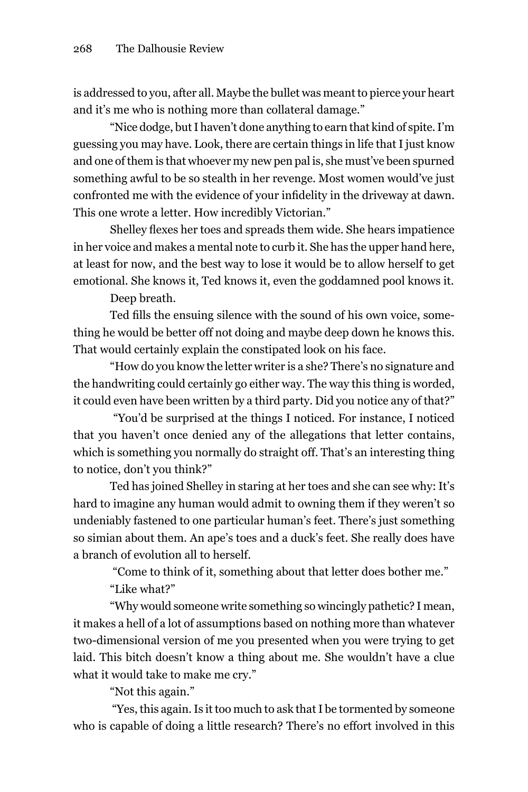is addressed to you, after all. maybe the bullet was meant to pierce your heart and it's me who is nothing more than collateral damage."

"Nice dodge, but I haven't done anything to earn that kind of spite. I'm guessing you may have. look, there are certain things in life that I just know and one of them is that whoever my new pen pal is, she must've been spurned something awful to be so stealth in her revenge. most women would've just confronted me with the evidence of your infidelity in the driveway at dawn. This one wrote a letter. how incredibly Victorian."

Shelley flexes her toes and spreads them wide. She hears impatience in her voice and makes a mental note to curb it. She has the upper hand here, at least for now, and the best way to lose it would be to allow herself to get emotional. She knows it, Ted knows it, even the goddamned pool knows it.

Deep breath.

Ted fills the ensuing silence with the sound of his own voice, something he would be better off not doing and maybe deep down he knows this. That would certainly explain the constipated look on his face.

"how do you know the letter writer is a she? There's no signature and the handwriting could certainly go either way. The way this thing is worded, it could even have been written by a third party. Did you notice any of that?"

 "You'd be surprised at the things I noticed. For instance, I noticed that you haven't once denied any of the allegations that letter contains, which is something you normally do straight off. That's an interesting thing to notice, don't you think?"

Ted has joined Shelley in staring at her toes and she can see why: It's hard to imagine any human would admit to owning them if they weren't so undeniably fastened to one particular human's feet. There's just something so simian about them. An ape's toes and a duck's feet. She really does have a branch of evolution all to herself.

"Come to think of it, something about that letter does bother me."

"like what?"

"Why would someone write something so wincingly pathetic? I mean, it makes a hell of a lot of assumptions based on nothing more than whatever two-dimensional version of me you presented when you were trying to get laid. This bitch doesn't know a thing about me. She wouldn't have a clue what it would take to make me cry."

"Not this again."

 "Yes, this again. Is it too much to ask that I be tormented by someone who is capable of doing a little research? There's no effort involved in this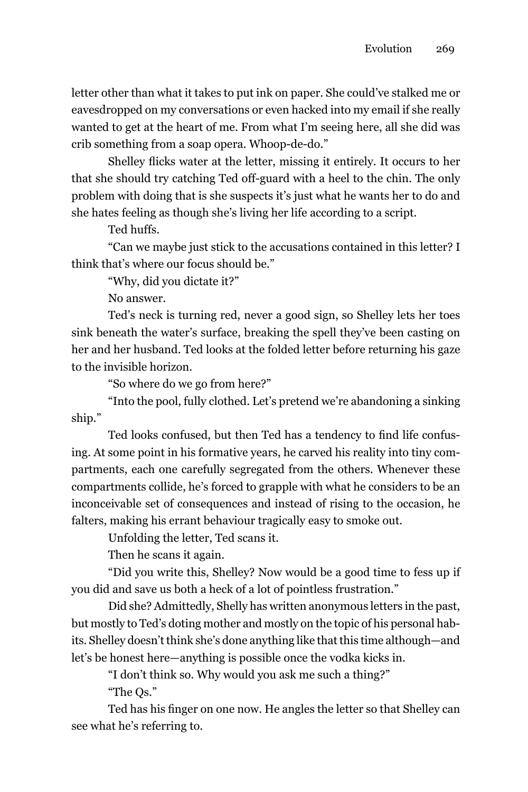letter other than what it takes to put ink on paper. She could've stalked me or eavesdropped on my conversations or even hacked into my email if she really wanted to get at the heart of me. From what I'm seeing here, all she did was crib something from a soap opera. Whoop-de-do."

Shelley flicks water at the letter, missing it entirely. It occurs to her that she should try catching Ted off-guard with a heel to the chin. The only problem with doing that is she suspects it's just what he wants her to do and she hates feeling as though she's living her life according to a script.

Ted huffs.

"Can we maybe just stick to the accusations contained in this letter? I think that's where our focus should be."

"Why, did you dictate it?"

No answer.

Ted's neck is turning red, never a good sign, so Shelley lets her toes sink beneath the water's surface, breaking the spell they've been casting on her and her husband. Ted looks at the folded letter before returning his gaze to the invisible horizon.

"So where do we go from here?"

"Into the pool, fully clothed. let's pretend we're abandoning a sinking ship."

Ted looks confused, but then Ted has a tendency to find life confusing. At some point in his formative years, he carved his reality into tiny compartments, each one carefully segregated from the others. Whenever these compartments collide, he's forced to grapple with what he considers to be an inconceivable set of consequences and instead of rising to the occasion, he falters, making his errant behaviour tragically easy to smoke out.

unfolding the letter, Ted scans it.

Then he scans it again.

"Did you write this, Shelley? now would be a good time to fess up if you did and save us both a heck of a lot of pointless frustration."

Did she? Admittedly, Shelly has written anonymous letters in the past, but mostly to Ted's doting mother and mostly on the topic of his personal habits. Shelley doesn't think she's done anything like that this time although—and let's be honest here—anything is possible once the vodka kicks in.

"I don't think so. Why would you ask me such a thing?" "The Qs."

Ted has his finger on one now. He angles the letter so that Shelley can see what he's referring to.